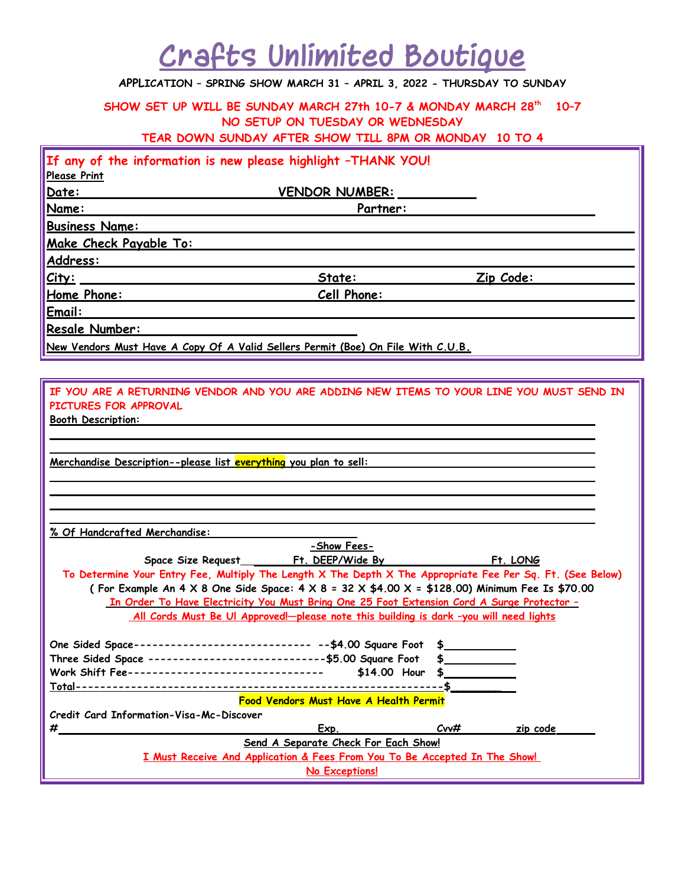## **Crafts Unlimited Boutique**

## **APPLICATION – SPRING SHOW MARCH 31 – APRIL 3, 2022 - THURSDAY TO SUNDAY**

**SHOW SET UP WILL BE SUNDAY MARCH 27th 10-7 & MONDAY MARCH 28th 10–7 NO SETUP ON TUESDAY OR WEDNESDAY TEAR DOWN SUNDAY AFTER SHOW TILL 8PM OR MONDAY 10 TO 4**

| If any of the information is new please highlight -THANK YOU!                    |                       |           |  |  |  |  |  |
|----------------------------------------------------------------------------------|-----------------------|-----------|--|--|--|--|--|
| <b>Please Print</b>                                                              |                       |           |  |  |  |  |  |
| Date:                                                                            | <b>VENDOR NUMBER:</b> |           |  |  |  |  |  |
| Name:                                                                            | Partner:              |           |  |  |  |  |  |
| <b>Business Name:</b>                                                            |                       |           |  |  |  |  |  |
| Make Check Payable To:                                                           |                       |           |  |  |  |  |  |
| Address:                                                                         |                       |           |  |  |  |  |  |
| City:                                                                            | State:                | Zip Code: |  |  |  |  |  |
| Home Phone:                                                                      | Cell Phone:           |           |  |  |  |  |  |
| Email:                                                                           |                       |           |  |  |  |  |  |
| Resale Number:                                                                   |                       |           |  |  |  |  |  |
| New Vendors Must Have A Copy Of A Valid Sellers Permit (Boe) On File With C.U.B. |                       |           |  |  |  |  |  |

**IF YOU ARE A RETURNING VENDOR AND YOU ARE ADDING NEW ITEMS TO YOUR LINE YOU MUST SEND IN PICTURES FOR APPROVAL**

 **Booth Description:** 

 **Merchandise Description--please list everything you plan to sell:** 

 **% Of Handcrafted Merchandise:** 

| -Show Fees-                                                                                                     |  |  |  |  |  |  |
|-----------------------------------------------------------------------------------------------------------------|--|--|--|--|--|--|
| Ft. LONG                                                                                                        |  |  |  |  |  |  |
| To Determine Your Entry Fee, Multiply The Length X The Depth X The Appropriate Fee Per Sq. Ft. (See Below)      |  |  |  |  |  |  |
| (For Example An 4 X 8 One Side Space: $4 \times 8 = 32 \times 44.00 \times 1 = 128.00$ ) Minimum Fee Is \$70.00 |  |  |  |  |  |  |
| <u>In Order To Have Electricity You Must Bring One 25 Foot Extension Cord A Surge Protector -</u>               |  |  |  |  |  |  |
| <u>All Cords Must Be Ul Approved!-please note this building is dark -you will need lights</u>                   |  |  |  |  |  |  |
|                                                                                                                 |  |  |  |  |  |  |
| One Sided Space---------------------------- --\$4.00 Square Foot \$                                             |  |  |  |  |  |  |
| Three Sided Space -----------------------------\$5.00 Square Foot \$                                            |  |  |  |  |  |  |
| Work Shift Fee--------------------------------<br>$$14.00$ Hour $$$                                             |  |  |  |  |  |  |
|                                                                                                                 |  |  |  |  |  |  |
| <b>Food Vendors Must Have A Health Permit</b>                                                                   |  |  |  |  |  |  |
| Credit Card Information-Visa-Mc-Discover                                                                        |  |  |  |  |  |  |
| #<br>Cov#<br>Exp.<br>zip code                                                                                   |  |  |  |  |  |  |
| Send A Separate Check For Each Show!                                                                            |  |  |  |  |  |  |
| I Must Receive And Application & Fees From You To Be Accepted In The Show!                                      |  |  |  |  |  |  |
| No Exceptions!                                                                                                  |  |  |  |  |  |  |